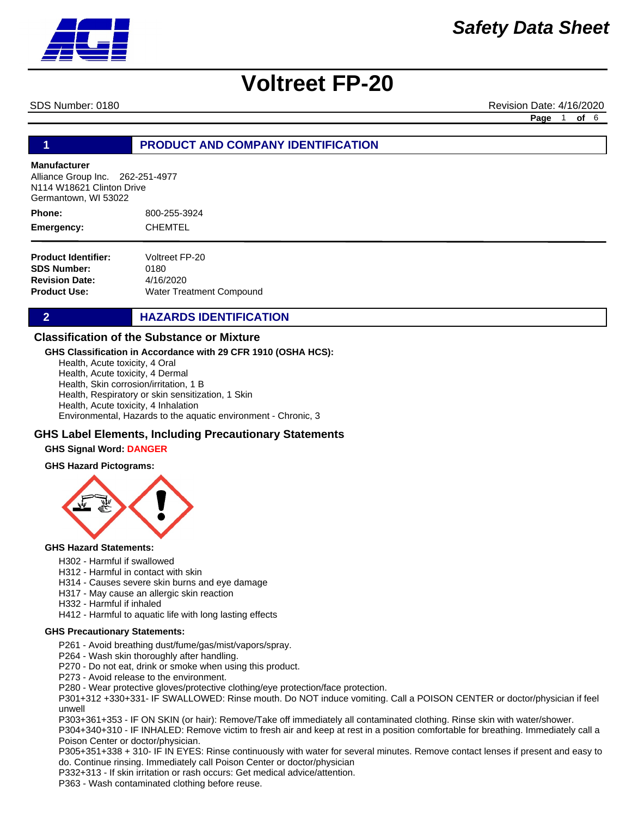

SDS Number: 0180 Revision Date: 4/16/2020

**Page** 1 **of** 6

#### **1 PRODUCT AND COMPANY IDENTIFICATION**

#### **Manufacturer**

Alliance Group Inc. 262-251-4977 N114 W18621 Clinton Drive Germantown, WI 53022

800-255-3924 CHEMTEL **Phone: Emergency:**

| Voltreet FP-20                  |
|---------------------------------|
| 0180                            |
| 4/16/2020                       |
| <b>Water Treatment Compound</b> |
|                                 |

#### **2 HAZARDS IDENTIFICATION**

#### **Classification of the Substance or Mixture**

#### **GHS Classification in Accordance with 29 CFR 1910 (OSHA HCS):**

Health, Acute toxicity, 4 Oral Health, Acute toxicity, 4 Dermal Health, Skin corrosion/irritation, 1 B Health, Respiratory or skin sensitization, 1 Skin Health, Acute toxicity, 4 Inhalation Environmental, Hazards to the aquatic environment - Chronic, 3

#### **GHS Label Elements, Including Precautionary Statements**

#### **GHS Signal Word: DANGER**

#### **GHS Hazard Pictograms:**



#### **GHS Hazard Statements:**

- H302 Harmful if swallowed
- H312 Harmful in contact with skin
- H314 Causes severe skin burns and eye damage
- H317 May cause an allergic skin reaction
- H332 Harmful if inhaled
- H412 Harmful to aquatic life with long lasting effects

#### **GHS Precautionary Statements:**

- P261 Avoid breathing dust/fume/gas/mist/vapors/spray.
- P264 Wash skin thoroughly after handling.
- P270 Do not eat, drink or smoke when using this product.
- P273 Avoid release to the environment.
- P280 Wear protective gloves/protective clothing/eye protection/face protection.

P301+312 +330+331- IF SWALLOWED: Rinse mouth. Do NOT induce vomiting. Call a POISON CENTER or doctor/physician if feel unwell

P303+361+353 - IF ON SKIN (or hair): Remove/Take off immediately all contaminated clothing. Rinse skin with water/shower.

P304+340+310 - IF INHALED: Remove victim to fresh air and keep at rest in a position comfortable for breathing. Immediately call a Poison Center or doctor/physician.

P305+351+338 + 310- IF IN EYES: Rinse continuously with water for several minutes. Remove contact lenses if present and easy to do. Continue rinsing. Immediately call Poison Center or doctor/physician

P332+313 - If skin irritation or rash occurs: Get medical advice/attention.

P363 - Wash contaminated clothing before reuse.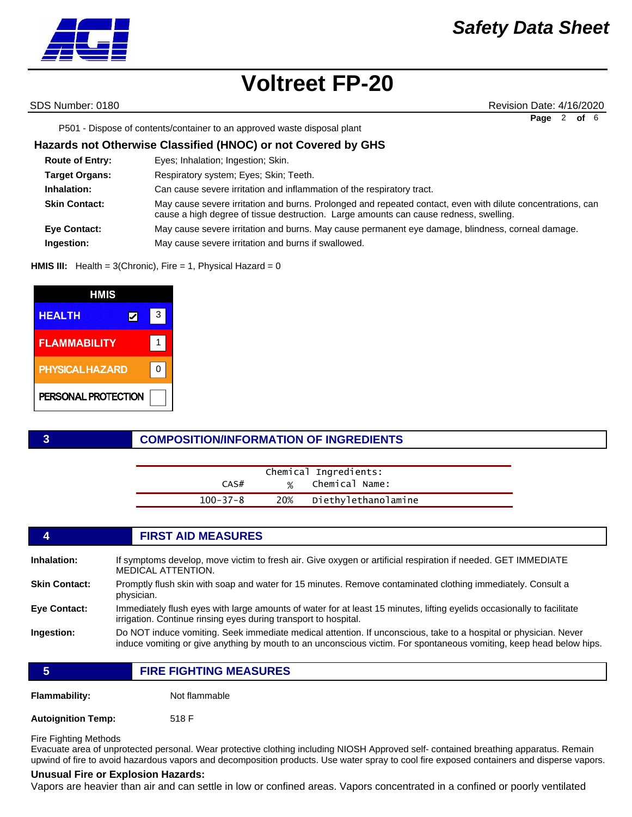SDS Number: 0180 Revision Date: 4/16/2020 **Page** 2 **of** 6

P501 - Dispose of contents/container to an approved waste disposal plant

#### **Hazards not Otherwise Classified (HNOC) or not Covered by GHS**

| <b>Route of Entry:</b> | Eyes; Inhalation; Ingestion; Skin.                                                                                                                                                                   |
|------------------------|------------------------------------------------------------------------------------------------------------------------------------------------------------------------------------------------------|
| <b>Target Organs:</b>  | Respiratory system; Eyes; Skin; Teeth.                                                                                                                                                               |
| Inhalation:            | Can cause severe irritation and inflammation of the respiratory tract.                                                                                                                               |
| <b>Skin Contact:</b>   | May cause severe irritation and burns. Prolonged and repeated contact, even with dilute concentrations, can<br>cause a high degree of tissue destruction. Large amounts can cause redness, swelling. |
| <b>Eye Contact:</b>    | May cause severe irritation and burns. May cause permanent eye damage, blindness, corneal damage.                                                                                                    |
| Ingestion:             | May cause severe irritation and burns if swallowed.                                                                                                                                                  |

**HMIS III:** Health = 3(Chronic), Fire = 1, Physical Hazard = 0

| HMIS                   |   |   |
|------------------------|---|---|
| <b>HEALTH</b>          | V | 3 |
| <b>FLAMMABILITY</b>    |   |   |
| <b>PHYSICAL HAZARD</b> |   |   |
| PERSONAL PROTECTION    |   |   |

#### **3 COMPOSITION/INFORMATION OF INGREDIENTS**

|                | Chemical Ingredients:   |  |
|----------------|-------------------------|--|
| CAS#           | % Chemical Name:        |  |
| $100 - 37 - 8$ | 20% Diethylethanolamine |  |

#### **4 FIRST AID MEASURES**

| Inhalation:          | If symptoms develop, move victim to fresh air. Give oxygen or artificial respiration if needed. GET IMMEDIATE<br><b>MEDICAL ATTENTION.</b>                                                                                              |
|----------------------|-----------------------------------------------------------------------------------------------------------------------------------------------------------------------------------------------------------------------------------------|
| <b>Skin Contact:</b> | Promptly flush skin with soap and water for 15 minutes. Remove contaminated clothing immediately. Consult a<br>physician.                                                                                                               |
| <b>Eye Contact:</b>  | Immediately flush eyes with large amounts of water for at least 15 minutes, lifting eyelids occasionally to facilitate<br>irrigation. Continue rinsing eyes during transport to hospital.                                               |
| Ingestion:           | Do NOT induce vomiting. Seek immediate medical attention. If unconscious, take to a hospital or physician. Never<br>induce vomiting or give anything by mouth to an unconscious victim. For spontaneous vomiting, keep head below hips. |

**5 FIRE FIGHTING MEASURES**

**Flammability:** Not flammable

**Autoignition Temp:** 518 F

Fire Fighting Methods

Evacuate area of unprotected personal. Wear protective clothing including NIOSH Approved self- contained breathing apparatus. Remain upwind of fire to avoid hazardous vapors and decomposition products. Use water spray to cool fire exposed containers and disperse vapors.

#### **Unusual Fire or Explosion Hazards:**

Vapors are heavier than air and can settle in low or confined areas. Vapors concentrated in a confined or poorly ventilated

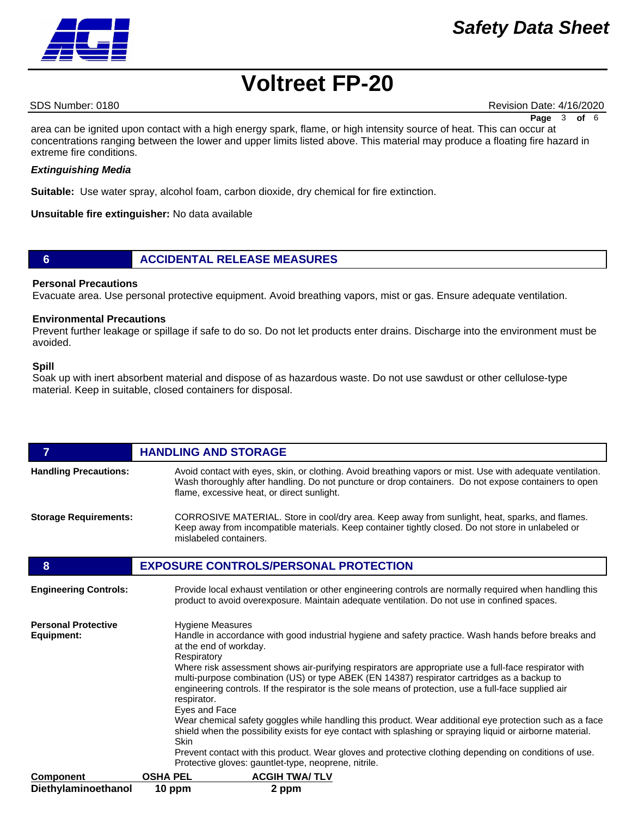### *Safety Data Sheet*

## **Voltreet FP-20**

SDS Number: 0180 Revision Date: 4/16/2020

**Page** 3 **of** 6

area can be ignited upon contact with a high energy spark, flame, or high intensity source of heat. This can occur at concentrations ranging between the lower and upper limits listed above. This material may produce a floating fire hazard in extreme fire conditions.

#### *Extinguishing Media*

**Suitable:** Use water spray, alcohol foam, carbon dioxide, dry chemical for fire extinction.

**Unsuitable fire extinguisher:** No data available

#### **6 ACCIDENTAL RELEASE MEASURES**

#### **Personal Precautions**

Evacuate area. Use personal protective equipment. Avoid breathing vapors, mist or gas. Ensure adequate ventilation.

#### **Environmental Precautions**

Prevent further leakage or spillage if safe to do so. Do not let products enter drains. Discharge into the environment must be avoided.

#### **Spill**

Soak up with inert absorbent material and dispose of as hazardous waste. Do not use sawdust or other cellulose-type material. Keep in suitable, closed containers for disposal.

| $\overline{7}$                           | <b>HANDLING AND STORAGE</b>                                                                                                                                                                                                                                                                                                                                                                                                                                                                                                                                                                                                                                                                                                                                                                                                                                                                                                 |
|------------------------------------------|-----------------------------------------------------------------------------------------------------------------------------------------------------------------------------------------------------------------------------------------------------------------------------------------------------------------------------------------------------------------------------------------------------------------------------------------------------------------------------------------------------------------------------------------------------------------------------------------------------------------------------------------------------------------------------------------------------------------------------------------------------------------------------------------------------------------------------------------------------------------------------------------------------------------------------|
| <b>Handling Precautions:</b>             | Avoid contact with eyes, skin, or clothing. Avoid breathing vapors or mist. Use with adequate ventilation.<br>Wash thoroughly after handling. Do not puncture or drop containers. Do not expose containers to open<br>flame, excessive heat, or direct sunlight.                                                                                                                                                                                                                                                                                                                                                                                                                                                                                                                                                                                                                                                            |
| <b>Storage Requirements:</b>             | CORROSIVE MATERIAL. Store in cool/dry area. Keep away from sunlight, heat, sparks, and flames.<br>Keep away from incompatible materials. Keep container tightly closed. Do not store in unlabeled or<br>mislabeled containers.                                                                                                                                                                                                                                                                                                                                                                                                                                                                                                                                                                                                                                                                                              |
| 8                                        | <b>EXPOSURE CONTROLS/PERSONAL PROTECTION</b>                                                                                                                                                                                                                                                                                                                                                                                                                                                                                                                                                                                                                                                                                                                                                                                                                                                                                |
| <b>Engineering Controls:</b>             | Provide local exhaust ventilation or other engineering controls are normally required when handling this<br>product to avoid overexposure. Maintain adequate ventilation. Do not use in confined spaces.                                                                                                                                                                                                                                                                                                                                                                                                                                                                                                                                                                                                                                                                                                                    |
| <b>Personal Protective</b><br>Equipment: | <b>Hygiene Measures</b><br>Handle in accordance with good industrial hygiene and safety practice. Wash hands before breaks and<br>at the end of workday.<br>Respiratory<br>Where risk assessment shows air-purifying respirators are appropriate use a full-face respirator with<br>multi-purpose combination (US) or type ABEK (EN 14387) respirator cartridges as a backup to<br>engineering controls. If the respirator is the sole means of protection, use a full-face supplied air<br>respirator.<br>Eyes and Face<br>Wear chemical safety goggles while handling this product. Wear additional eye protection such as a face<br>shield when the possibility exists for eye contact with splashing or spraying liquid or airborne material.<br>Skin<br>Prevent contact with this product. Wear gloves and protective clothing depending on conditions of use.<br>Protective gloves: gauntlet-type, neoprene, nitrile. |
| <b>Component</b>                         | <b>OSHA PEL</b><br><b>ACGIH TWA/TLV</b>                                                                                                                                                                                                                                                                                                                                                                                                                                                                                                                                                                                                                                                                                                                                                                                                                                                                                     |
| Diethylaminoethanol                      | 10 ppm<br>2 ppm                                                                                                                                                                                                                                                                                                                                                                                                                                                                                                                                                                                                                                                                                                                                                                                                                                                                                                             |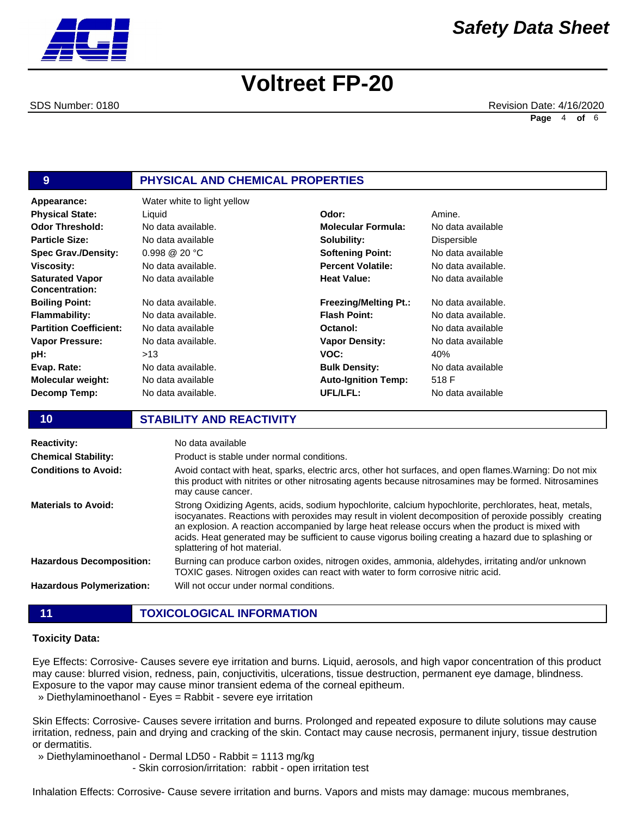SDS Number: 0180 Revision Date: 4/16/2020 **Page** 4 **of** 6

### **9 PHYSICAL AND CHEMICAL PROPERTIES**

| Appearance:                                     | Water white to light yellow |                              |                |
|-------------------------------------------------|-----------------------------|------------------------------|----------------|
| <b>Physical State:</b>                          | Liquid                      | Odor:                        | Amine.         |
| <b>Odor Threshold:</b>                          | No data available.          | <b>Molecular Formula:</b>    | No data        |
| <b>Particle Size:</b>                           | No data available           | Solubility:                  | <b>Dispers</b> |
| <b>Spec Grav./Density:</b>                      | $0.998 \ @ \ 20 \degree C$  | <b>Softening Point:</b>      | No data        |
| <b>Viscosity:</b>                               | No data available.          | <b>Percent Volatile:</b>     | No data        |
| <b>Saturated Vapor</b><br><b>Concentration:</b> | No data available           | <b>Heat Value:</b>           | No data        |
| <b>Boiling Point:</b>                           | No data available.          | <b>Freezing/Melting Pt.:</b> | No data        |
| <b>Flammability:</b>                            | No data available.          | <b>Flash Point:</b>          | No data        |
| <b>Partition Coefficient:</b>                   | No data available           | Octanol:                     | No data        |
| <b>Vapor Pressure:</b>                          | No data available.          | <b>Vapor Density:</b>        | No data        |
| pH:                                             | >13                         | VOC:                         | 40%            |
| Evap. Rate:                                     | No data available.          | <b>Bulk Density:</b>         | No data        |
| <b>Molecular weight:</b>                        | No data available           | <b>Auto-Ignition Temp:</b>   | 518 F          |
| Decomp Temp:                                    | No data available.          | UFL/LFL:                     | No data        |

#### **Molecular Formula:** No data available **Solubility: Softening Point: Percent Volatile: Heat Value: Freezing/Melting Pt.: Flash Point: Octanol: Vapor Density: VOC: Bulk Density: Auto-Ignition Temp: UFL/LFL:** Dispersible 40% 518 F No data available

No data available No data available. No data available No data available. No data available. No data available No data available No data available

#### **10 STABILITY AND REACTIVITY**

| <b>Reactivity:</b>               | No data available                                                                                                                                                                                                                                                                                                                                                                                                                                               |
|----------------------------------|-----------------------------------------------------------------------------------------------------------------------------------------------------------------------------------------------------------------------------------------------------------------------------------------------------------------------------------------------------------------------------------------------------------------------------------------------------------------|
| <b>Chemical Stability:</b>       | Product is stable under normal conditions.                                                                                                                                                                                                                                                                                                                                                                                                                      |
| <b>Conditions to Avoid:</b>      | Avoid contact with heat, sparks, electric arcs, other hot surfaces, and open flames. Warning: Do not mix<br>this product with nitrites or other nitrosating agents because nitrosamines may be formed. Nitrosamines<br>may cause cancer.                                                                                                                                                                                                                        |
| <b>Materials to Avoid:</b>       | Strong Oxidizing Agents, acids, sodium hypochlorite, calcium hypochlorite, perchlorates, heat, metals,<br>isocyanates. Reactions with peroxides may result in violent decomposition of peroxide possibly creating<br>an explosion. A reaction accompanied by large heat release occurs when the product is mixed with<br>acids. Heat generated may be sufficient to cause vigorus boiling creating a hazard due to splashing or<br>splattering of hot material. |
| <b>Hazardous Decomposition:</b>  | Burning can produce carbon oxides, nitrogen oxides, ammonia, aldehydes, irritating and/or unknown<br>TOXIC gases. Nitrogen oxides can react with water to form corrosive nitric acid.                                                                                                                                                                                                                                                                           |
| <b>Hazardous Polymerization:</b> | Will not occur under normal conditions.                                                                                                                                                                                                                                                                                                                                                                                                                         |

| <b>TOXICOLOGICAL INFORMATION</b> |  |
|----------------------------------|--|
|                                  |  |

#### **Toxicity Data:**

Eye Effects: Corrosive- Causes severe eye irritation and burns. Liquid, aerosols, and high vapor concentration of this product may cause: blurred vision, redness, pain, conjuctivitis, ulcerations, tissue destruction, permanent eye damage, blindness. Exposure to the vapor may cause minor transient edema of the corneal epitheum.

» Diethylaminoethanol - Eyes = Rabbit - severe eye irritation

Skin Effects: Corrosive- Causes severe irritation and burns. Prolonged and repeated exposure to dilute solutions may cause irritation, redness, pain and drying and cracking of the skin. Contact may cause necrosis, permanent injury, tissue destrution or dermatitis.

» Diethylaminoethanol - Dermal LD50 - Rabbit = 1113 mg/kg

- Skin corrosion/irritation: rabbit - open irritation test

Inhalation Effects: Corrosive- Cause severe irritation and burns. Vapors and mists may damage: mucous membranes,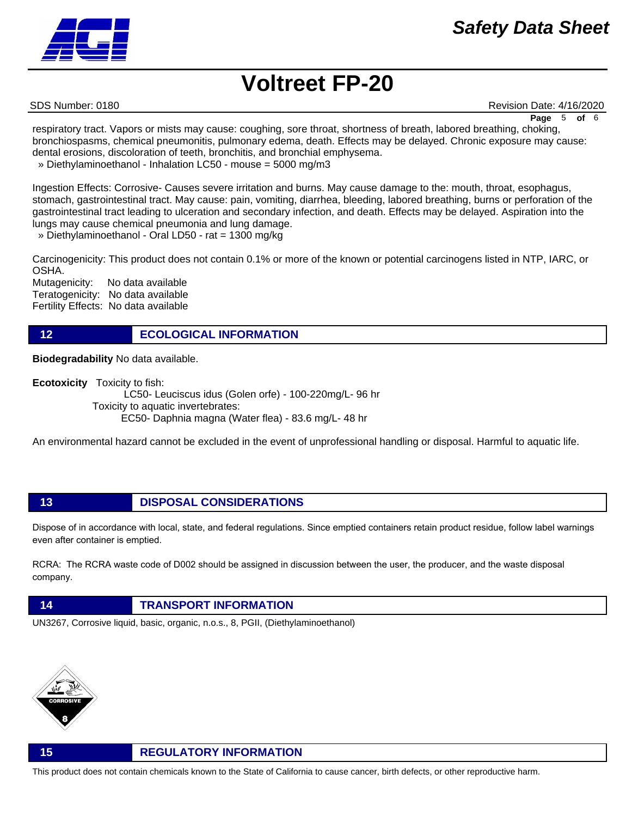SDS Number: 0180 Revision Date: 4/16/2020

**Page** 5 **of** 6

respiratory tract. Vapors or mists may cause: coughing, sore throat, shortness of breath, labored breathing, choking, bronchiospasms, chemical pneumonitis, pulmonary edema, death. Effects may be delayed. Chronic exposure may cause: dental erosions, discoloration of teeth, bronchitis, and bronchial emphysema.

» Diethylaminoethanol - Inhalation LC50 - mouse = 5000 mg/m3

Ingestion Effects: Corrosive- Causes severe irritation and burns. May cause damage to the: mouth, throat, esophagus, stomach, gastrointestinal tract. May cause: pain, vomiting, diarrhea, bleeding, labored breathing, burns or perforation of the gastrointestinal tract leading to ulceration and secondary infection, and death. Effects may be delayed. Aspiration into the lungs may cause chemical pneumonia and lung damage.

» Diethylaminoethanol - Oral LD50 - rat = 1300 mg/kg

Carcinogenicity: This product does not contain 0.1% or more of the known or potential carcinogens listed in NTP, IARC, or OSHA.

Mutagenicity: No data available Teratogenicity: No data available Fertility Effects: No data available

**12 ECOLOGICAL INFORMATION** 

**Biodegradability** No data available.

**Ecotoxicity** Toxicity to fish:

 LC50- Leuciscus idus (Golen orfe) - 100-220mg/L- 96 hr Toxicity to aquatic invertebrates: EC50- Daphnia magna (Water flea) - 83.6 mg/L- 48 hr

An environmental hazard cannot be excluded in the event of unprofessional handling or disposal. Harmful to aquatic life.

**13 DISPOSAL CONSIDERATIONS**

Dispose of in accordance with local, state, and federal regulations. Since emptied containers retain product residue, follow label warnings even after container is emptied.

RCRA: The RCRA waste code of D002 should be assigned in discussion between the user, the producer, and the waste disposal company.



UN3267, Corrosive liquid, basic, organic, n.o.s., 8, PGII, (Diethylaminoethanol)



#### **15 REGULATORY INFORMATION**

This product does not contain chemicals known to the State of California to cause cancer, birth defects, or other reproductive harm.